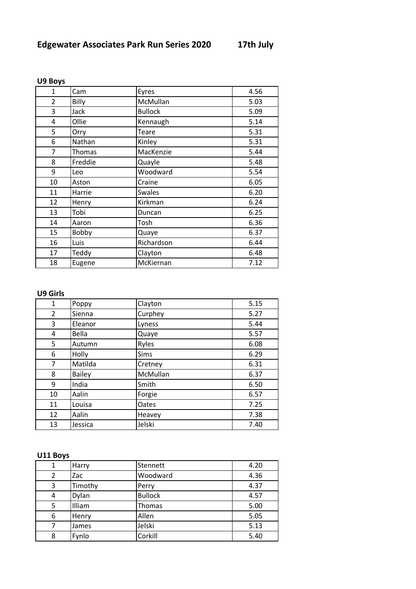| $\mathbf{1}$   | Cam     | Eyres          | 4.56 |
|----------------|---------|----------------|------|
| $\overline{2}$ | Billy   | McMullan       | 5.03 |
| 3              | Jack    | <b>Bullock</b> | 5.09 |
| 4              | Ollie   | Kennaugh       | 5.14 |
| 5              | Orry    | Teare          | 5.31 |
| 6              | Nathan  | Kinley         | 5.31 |
| $\overline{7}$ | Thomas  | MacKenzie      | 5.44 |
| 8              | Freddie | Quayle         | 5.48 |
| 9              | Leo     | Woodward       | 5.54 |
| 10             | Aston   | Craine         | 6.05 |
| 11             | Harrie  | <b>Swales</b>  | 6.20 |
| 12             | Henry   | Kirkman        | 6.24 |
| 13             | Tobi    | Duncan         | 6.25 |
| 14             | Aaron   | Tosh           | 6.36 |
| 15             | Bobby   | Quaye          | 6.37 |
| 16             | Luis    | Richardson     | 6.44 |
| 17             | Teddy   | Clayton        | 6.48 |
| 18             | Eugene  | McKiernan      | 7.12 |

#### **U9 Boys**

# **U9 Girls**

| $\mathbf{1}$   | Poppy         | Clayton  | 5.15 |
|----------------|---------------|----------|------|
| $\overline{2}$ | Sienna        | Curphey  | 5.27 |
| 3              | Eleanor       | Lyness   | 5.44 |
| 4              | Bella         | Quaye    | 5.57 |
| 5              | Autumn        | Ryles    | 6.08 |
| 6              | Holly         | Sims     | 6.29 |
| 7              | Matilda       | Cretney  | 6.31 |
| 8              | <b>Bailey</b> | McMullan | 6.37 |
| 9              | India         | Smith    | 6.50 |
| 10             | Aalin         | Forgie   | 6.57 |
| 11             | Louisa        | Oates    | 7.25 |
| 12             | Aalin         | Heavey   | 7.38 |
| 13             | Jessica       | Jelski   | 7.40 |

# **U11 Boys**

|   | Harry   | Stennett       | 4.20 |
|---|---------|----------------|------|
|   | Zac     | Woodward       | 4.36 |
| 3 | Timothy | Perry          | 4.37 |
| 4 | Dylan   | <b>Bullock</b> | 4.57 |
| 5 | Illiam  | Thomas         | 5.00 |
| 6 | Henry   | Allen          | 5.05 |
|   | James   | Jelski         | 5.13 |
| 8 | Fynlo   | Corkill        | 5.40 |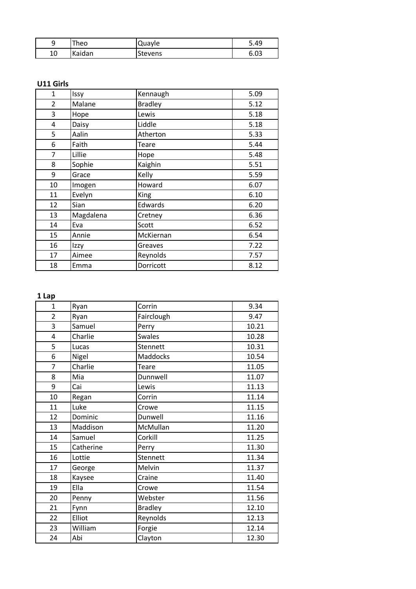| ۔         | Theo   | Quayle  | 5.49 |
|-----------|--------|---------|------|
| 1 ∩<br>⊥∪ | Kaidan | Stevens | 6.03 |

# **U11 Girls**

| $\mathbf{1}$   | Issy      | Kennaugh       | 5.09 |
|----------------|-----------|----------------|------|
| $\overline{2}$ | Malane    | <b>Bradley</b> | 5.12 |
| 3              | Hope      | Lewis          | 5.18 |
| 4              | Daisy     | Liddle         | 5.18 |
| 5              | Aalin     | Atherton       | 5.33 |
| 6              | Faith     | Teare          | 5.44 |
| $\overline{7}$ | Lillie    | Hope           | 5.48 |
| 8              | Sophie    | Kaighin        | 5.51 |
| 9              | Grace     | Kelly          | 5.59 |
| 10             | Imogen    | Howard         | 6.07 |
| 11             | Evelyn    | <b>King</b>    | 6.10 |
| 12             | Sian      | Edwards        | 6.20 |
| 13             | Magdalena | Cretney        | 6.36 |
| 14             | Eva       | Scott          | 6.52 |
| 15             | Annie     | McKiernan      | 6.54 |
| 16             | Izzy      | Greaves        | 7.22 |
| 17             | Aimee     | Reynolds       | 7.57 |
| 18             | Emma      | Dorricott      | 8.12 |

# **1 Lap**

| $\mathbf{1}$   | Ryan      | Corrin         | 9.34  |
|----------------|-----------|----------------|-------|
| $\overline{2}$ | Ryan      | Fairclough     | 9.47  |
| 3              | Samuel    | Perry          | 10.21 |
| 4              | Charlie   | <b>Swales</b>  | 10.28 |
| 5              | Lucas     | Stennett       | 10.31 |
| 6              | Nigel     | Maddocks       | 10.54 |
| $\overline{7}$ | Charlie   | <b>Teare</b>   | 11.05 |
| 8              | Mia       | Dunnwell       | 11.07 |
| 9              | Cai       | Lewis          | 11.13 |
| 10             | Regan     | Corrin         | 11.14 |
| 11             | Luke      | Crowe          | 11.15 |
| 12             | Dominic   | Dunwell        | 11.16 |
| 13             | Maddison  | McMullan       | 11.20 |
| 14             | Samuel    | Corkill        | 11.25 |
| 15             | Catherine | Perry          | 11.30 |
| 16             | Lottie    | Stennett       | 11.34 |
| 17             | George    | Melvin         | 11.37 |
| 18             | Kaysee    | Craine         | 11.40 |
| 19             | Ella      | Crowe          | 11.54 |
| 20             | Penny     | Webster        | 11.56 |
| 21             | Fynn      | <b>Bradley</b> | 12.10 |
| 22             | Elliot    | Reynolds       | 12.13 |
| 23             | William   | Forgie         | 12.14 |
| 24             | Abi       | Clayton        | 12.30 |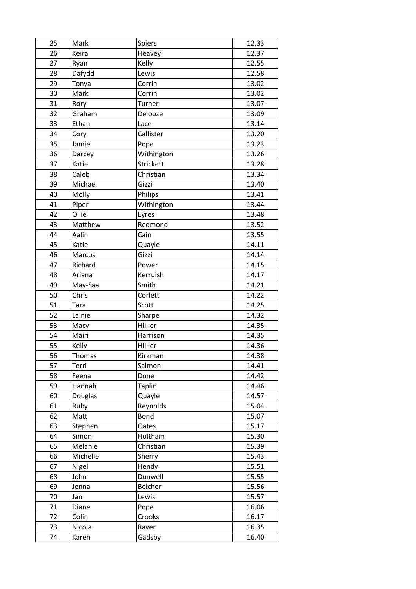| 25 | Mark          | Spiers        | 12.33 |
|----|---------------|---------------|-------|
| 26 | Keira         | Heavey        | 12.37 |
| 27 | Ryan          | Kelly         | 12.55 |
| 28 | Dafydd        | Lewis         | 12.58 |
| 29 | Tonya         | Corrin        | 13.02 |
| 30 | Mark          | Corrin        | 13.02 |
| 31 | Rory          | Turner        | 13.07 |
| 32 | Graham        | Delooze       | 13.09 |
| 33 | Ethan         | Lace          | 13.14 |
| 34 | Cory          | Callister     | 13.20 |
| 35 | Jamie         | Pope          | 13.23 |
| 36 | Darcey        | Withington    | 13.26 |
| 37 | Katie         | Strickett     | 13.28 |
| 38 | Caleb         | Christian     | 13.34 |
| 39 | Michael       | Gizzi         | 13.40 |
| 40 | Molly         | Philips       | 13.41 |
| 41 | Piper         | Withington    | 13.44 |
| 42 | Ollie         | Eyres         | 13.48 |
| 43 | Matthew       | Redmond       | 13.52 |
| 44 | Aalin         | Cain          | 13.55 |
| 45 | Katie         | Quayle        | 14.11 |
| 46 | Marcus        | Gizzi         | 14.14 |
| 47 | Richard       | Power         | 14.15 |
| 48 | Ariana        | Kerruish      | 14.17 |
| 49 | May-Saa       | Smith         | 14.21 |
| 50 | Chris         | Corlett       | 14.22 |
| 51 | Tara          | Scott         | 14.25 |
| 52 | Lainie        | Sharpe        | 14.32 |
| 53 | Macy          | Hillier       | 14.35 |
| 54 | Mairi         | Harrison      | 14.35 |
| 55 | Kelly         | Hillier       | 14.36 |
| 56 | <b>Thomas</b> | Kirkman       | 14.38 |
| 57 | Terri         | Salmon        | 14.41 |
| 58 | Feena         | Done          | 14.42 |
| 59 | Hannah        | <b>Taplin</b> | 14.46 |
| 60 | Douglas       | Quayle        | 14.57 |
| 61 | Ruby          | Reynolds      | 15.04 |
| 62 | Matt          | Bond          | 15.07 |
| 63 | Stephen       | Oates         | 15.17 |
| 64 | Simon         | Holtham       | 15.30 |
| 65 | Melanie       | Christian     | 15.39 |
| 66 | Michelle      | Sherry        | 15.43 |
| 67 | Nigel         | Hendy         | 15.51 |
| 68 | John          | Dunwell       | 15.55 |
| 69 | Jenna         | Belcher       | 15.56 |
| 70 | Jan           | Lewis         | 15.57 |
| 71 | Diane         | Pope          | 16.06 |
| 72 | Colin         | Crooks        | 16.17 |
| 73 | Nicola        | Raven         | 16.35 |
| 74 | Karen         | Gadsby        | 16.40 |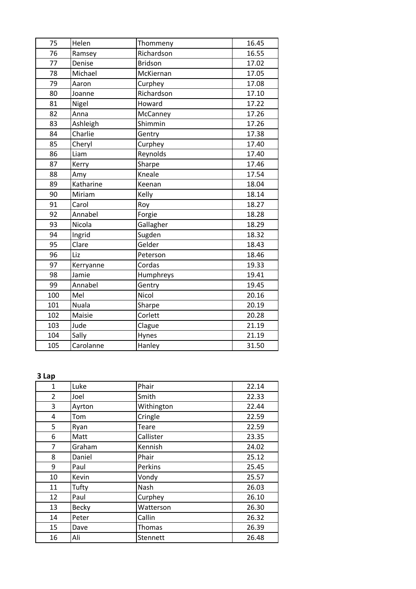| 75  | Helen        | Thommeny       | 16.45 |
|-----|--------------|----------------|-------|
| 76  | Ramsey       | Richardson     | 16.55 |
| 77  | Denise       | <b>Bridson</b> | 17.02 |
| 78  | Michael      | McKiernan      | 17.05 |
| 79  | Aaron        | Curphey        | 17.08 |
| 80  | Joanne       | Richardson     | 17.10 |
| 81  | Nigel        | Howard         | 17.22 |
| 82  | Anna         | McCanney       | 17.26 |
| 83  | Ashleigh     | Shimmin        | 17.26 |
| 84  | Charlie      | Gentry         | 17.38 |
| 85  | Cheryl       | Curphey        | 17.40 |
| 86  | Liam         | Reynolds       | 17.40 |
| 87  | Kerry        | Sharpe         | 17.46 |
| 88  | Amy          | Kneale         | 17.54 |
| 89  | Katharine    | Keenan         | 18.04 |
| 90  | Miriam       | Kelly          | 18.14 |
| 91  | Carol        | Roy            | 18.27 |
| 92  | Annabel      | Forgie         | 18.28 |
| 93  | Nicola       | Gallagher      | 18.29 |
| 94  | Ingrid       | Sugden         | 18.32 |
| 95  | Clare        | Gelder         | 18.43 |
| 96  | Liz          | Peterson       | 18.46 |
| 97  | Kerryanne    | Cordas         | 19.33 |
| 98  | Jamie        | Humphreys      | 19.41 |
| 99  | Annabel      | Gentry         | 19.45 |
| 100 | Mel          | Nicol          | 20.16 |
| 101 | <b>Nuala</b> | Sharpe         | 20.19 |
| 102 | Maisie       | Corlett        | 20.28 |
| 103 | Jude         | Clague         | 21.19 |
| 104 | Sally        | Hynes          | 21.19 |
| 105 | Carolanne    | Hanley         | 31.50 |

# **3 Lap**

| 1              | Luke         | Phair      | 22.14 |
|----------------|--------------|------------|-------|
| $\overline{2}$ | Joel         | Smith      | 22.33 |
| 3              | Ayrton       | Withington | 22.44 |
| 4              | Tom          | Cringle    | 22.59 |
| 5              | Ryan         | Teare      | 22.59 |
| 6              | Matt         | Callister  | 23.35 |
| $\overline{7}$ | Graham       | Kennish    | 24.02 |
| 8              | Daniel       | Phair      | 25.12 |
| 9              | Paul         | Perkins    | 25.45 |
| 10             | Kevin        | Vondy      | 25.57 |
| 11             | Tufty        | Nash       | 26.03 |
| 12             | Paul         | Curphey    | 26.10 |
| 13             | <b>Becky</b> | Watterson  | 26.30 |
| 14             | Peter        | Callin     | 26.32 |
| 15             | Dave         | Thomas     | 26.39 |
| 16             | Ali          | Stennett   | 26.48 |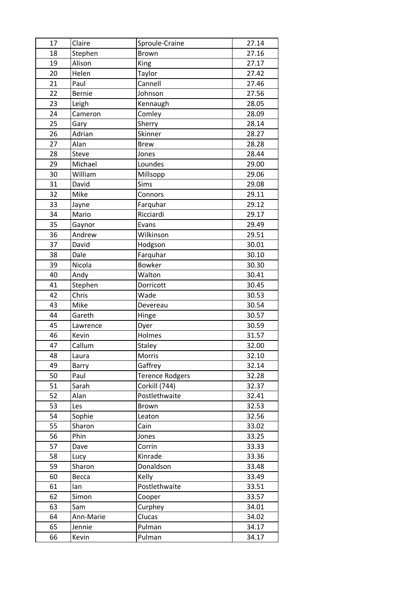| 17 | Claire        | Sproule-Craine         | 27.14 |
|----|---------------|------------------------|-------|
| 18 | Stephen       | <b>Brown</b>           | 27.16 |
| 19 | Alison        | King                   | 27.17 |
| 20 | Helen         | Taylor                 | 27.42 |
| 21 | Paul          | Cannell                | 27.46 |
| 22 | <b>Bernie</b> | Johnson                | 27.56 |
| 23 | Leigh         | Kennaugh               | 28.05 |
| 24 | Cameron       | Comley                 | 28.09 |
| 25 | Gary          | Sherry                 | 28.14 |
| 26 | Adrian        | Skinner                | 28.27 |
| 27 | Alan          | <b>Brew</b>            | 28.28 |
| 28 | Steve         | Jones                  | 28.44 |
| 29 | Michael       | Loundes                | 29.00 |
| 30 | William       | Millsopp               | 29.06 |
| 31 | David         | Sims                   | 29.08 |
| 32 | Mike          | Connors                | 29.11 |
| 33 | Jayne         | Farquhar               | 29.12 |
| 34 | Mario         | Ricciardi              | 29.17 |
| 35 | Gaynor        | Evans                  | 29.49 |
| 36 | Andrew        | Wilkinson              | 29.51 |
| 37 | David         | Hodgson                | 30.01 |
| 38 | Dale          | Farquhar               | 30.10 |
| 39 | Nicola        | <b>Bowker</b>          | 30.30 |
| 40 | Andy          | Walton                 | 30.41 |
| 41 | Stephen       | Dorricott              | 30.45 |
| 42 | Chris         | Wade                   | 30.53 |
| 43 | Mike          | Devereau               | 30.54 |
| 44 | Gareth        | Hinge                  | 30.57 |
| 45 | Lawrence      | Dyer                   | 30.59 |
| 46 | Kevin         | Holmes                 | 31.57 |
| 47 | Callum        | Staley                 | 32.00 |
| 48 | Laura         | Morris                 | 32.10 |
| 49 | Barry         | Gaffrey                | 32.14 |
| 50 | Paul          | <b>Terence Rodgers</b> | 32.28 |
| 51 | Sarah         | Corkill (744)          | 32.37 |
| 52 | Alan          | Postlethwaite          | 32.41 |
| 53 | Les           | Brown                  | 32.53 |
| 54 | Sophie        | Leaton                 | 32.56 |
| 55 | Sharon        | Cain                   | 33.02 |
| 56 | Phin          | Jones                  | 33.25 |
| 57 | Dave          | Corrin                 | 33.33 |
| 58 | Lucy          | Kinrade                | 33.36 |
| 59 | Sharon        | Donaldson              | 33.48 |
| 60 | Becca         | Kelly                  | 33.49 |
| 61 | lan           | Postlethwaite          | 33.51 |
| 62 | Simon         | Cooper                 | 33.57 |
| 63 | Sam           | Curphey                | 34.01 |
| 64 | Ann-Marie     | Clucas                 | 34.02 |
| 65 | Jennie        | Pulman                 | 34.17 |
| 66 | Kevin         | Pulman                 | 34.17 |